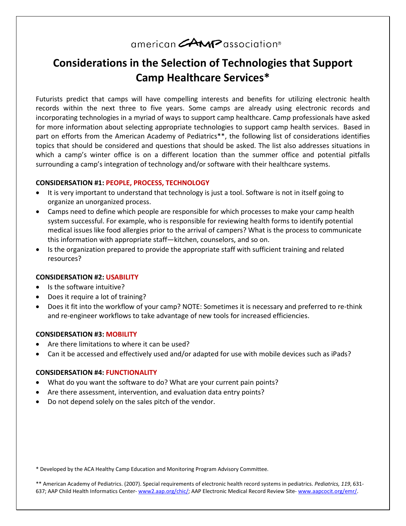# american **CAMP** association®

# **Considerations in the Selection of Technologies that Support Camp Healthcare Services\***

Futurists predict that camps will have compelling interests and benefits for utilizing electronic health records within the next three to five years. Some camps are already using electronic records and incorporating technologies in a myriad of ways to support camp healthcare. Camp professionals have asked for more information about selecting appropriate technologies to support camp health services. Based in part on efforts from the American Academy of Pediatrics\*\*, the following list of considerations identifies topics that should be considered and questions that should be asked. The list also addresses situations in which a camp's winter office is on a different location than the summer office and potential pitfalls surrounding a camp's integration of technology and/or software with their healthcare systems.

#### **CONSIDERSATION #1: PEOPLE, PROCESS, TECHNOLOGY**

- It is very important to understand that technology is just a tool. Software is not in itself going to organize an unorganized process.
- Camps need to define which people are responsible for which processes to make your camp health system successful. For example, who is responsible for reviewing health forms to identify potential medical issues like food allergies prior to the arrival of campers? What is the process to communicate this information with appropriate staff—kitchen, counselors, and so on.
- Is the organization prepared to provide the appropriate staff with sufficient training and related resources?

#### **CONSIDERSATION #2: USABILITY**

- Is the software intuitive?
- Does it require a lot of training?
- Does it fit into the workflow of your camp? NOTE: Sometimes it is necessary and preferred to re-think and re-engineer workflows to take advantage of new tools for increased efficiencies.

#### **CONSIDERSATION #3: MOBILITY**

- Are there limitations to where it can be used?
- Can it be accessed and effectively used and/or adapted for use with mobile devices such as iPads?

#### **CONSIDERSATION #4: FUNCTIONALITY**

- What do you want the software to do? What are your current pain points?
- Are there assessment, intervention, and evaluation data entry points?
- Do not depend solely on the sales pitch of the vendor.

\* Developed by the ACA Healthy Camp Education and Monitoring Program Advisory Committee.

\*\* American Academy of Pediatrics. (2007). Special requirements of electronic health record systems in pediatrics. *Pediatrics, 119*, 631 637; AAP Child Health Informatics Center- [www2.aap.org/chic/;](http://www2.aap.org/chic/) AAP Electronic Medical Record Review Site- www.aapcocit.org/emr/.